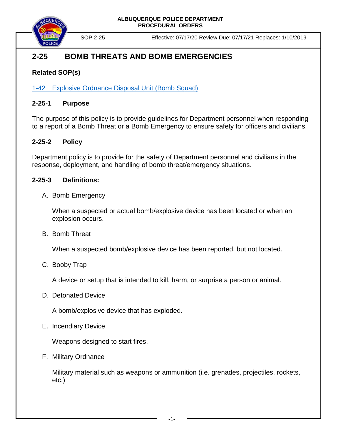



SOP 2-25 Effective: 07/17/20 Review Due: 07/17/21 Replaces: 1/10/2019

# **2-25 BOMB THREATS AND BOMB EMERGENCIES**

## **Related SOP(s)**

1-42 [Explosive Ordnance Disposal Unit \(Bomb Squad\)](https://powerdms.com/link/COA/document/?id=1850144)

### **2-25-1 Purpose**

The purpose of this policy is to provide guidelines for Department personnel when responding to a report of a Bomb Threat or a Bomb Emergency to ensure safety for officers and civilians.

### **2-25-2 Policy**

Department policy is to provide for the safety of Department personnel and civilians in the response, deployment, and handling of bomb threat/emergency situations.

### **2-25-3 Definitions:**

A. Bomb Emergency

When a suspected or actual bomb/explosive device has been located or when an explosion occurs.

B. Bomb Threat

When a suspected bomb/explosive device has been reported, but not located.

C. Booby Trap

A device or setup that is intended to kill, harm, or surprise a person or animal.

D. Detonated Device

A bomb/explosive device that has exploded.

E. Incendiary Device

Weapons designed to start fires.

F. Military Ordnance

Military material such as weapons or ammunition (i.e. grenades, projectiles, rockets, etc.)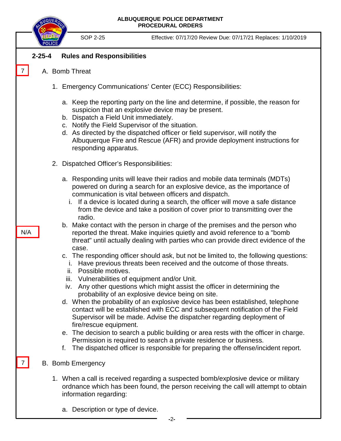**ALBUQUERQUE POLICE DEPARTMENT PROCEDURAL ORDERS**

SOP 2-25 Effective: 07/17/20 Review Due: 07/17/21 Replaces: 1/10/2019

#### **2-25-4 Rules and Responsibilities**

A. Bomb Threat

7

N/A

7

- 1. Emergency Communications' Center (ECC) Responsibilities:
	- a. Keep the reporting party on the line and determine, if possible, the reason for suspicion that an explosive device may be present.
	- b. Dispatch a Field Unit immediately.
	- c. Notify the Field Supervisor of the situation.
	- d. As directed by the dispatched officer or field supervisor, will notify the Albuquerque Fire and Rescue (AFR) and provide deployment instructions for responding apparatus.
- 2. Dispatched Officer's Responsibilities:
	- a. Responding units will leave their radios and mobile data terminals (MDTs) powered on during a search for an explosive device, as the importance of communication is vital between officers and dispatch.
		- i. If a device is located during a search, the officer will move a safe distance from the device and take a position of cover prior to transmitting over the radio.
	- b. Make contact with the person in charge of the premises and the person who reported the threat. Make inquiries quietly and avoid reference to a "bomb threat" until actually dealing with parties who can provide direct evidence of the case.
	- c. The responding officer should ask, but not be limited to, the following questions:
		- i. Have previous threats been received and the outcome of those threats.
		- ii. Possible motives.
		- iii. Vulnerabilities of equipment and/or Unit.
	- iv. Any other questions which might assist the officer in determining the probability of an explosive device being on site.
	- d. When the probability of an explosive device has been established, telephone contact will be established with ECC and subsequent notification of the Field Supervisor will be made. Advise the dispatcher regarding deployment of fire/rescue equipment.
	- e. The decision to search a public building or area rests with the officer in charge. Permission is required to search a private residence or business.
	- f. The dispatched officer is responsible for preparing the offense/incident report.
- B. Bomb Emergency
	- 1. When a call is received regarding a suspected bomb/explosive device or military ordnance which has been found, the person receiving the call will attempt to obtain information regarding:
		- a. Description or type of device.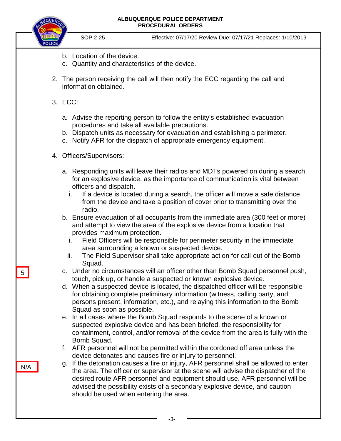#### **ALBUQUERQUE POLICE DEPARTMENT PROCEDURAL ORDERS**



SOP 2-25 Effective: 07/17/20 Review Due: 07/17/21 Replaces: 1/10/2019

- b. Location of the device.
- c. Quantity and characteristics of the device.
- 2. The person receiving the call will then notify the ECC regarding the call and information obtained.
- 3. ECC:
	- a. Advise the reporting person to follow the entity's established evacuation procedures and take all available precautions.
	- b. Dispatch units as necessary for evacuation and establishing a perimeter.
	- c. Notify AFR for the dispatch of appropriate emergency equipment.
- 4. Officers/Supervisors:
	- a. Responding units will leave their radios and MDTs powered on during a search for an explosive device, as the importance of communication is vital between officers and dispatch.
		- i. If a device is located during a search, the officer will move a safe distance from the device and take a position of cover prior to transmitting over the radio.
	- b. Ensure evacuation of all occupants from the immediate area (300 feet or more) and attempt to view the area of the explosive device from a location that provides maximum protection.
		- i. Field Officers will be responsible for perimeter security in the immediate area surrounding a known or suspected device.
		- ii. The Field Supervisor shall take appropriate action for call-out of the Bomb Squad.
	- c. Under no circumstances will an officer other than Bomb Squad personnel push, touch, pick up, or handle a suspected or known explosive device.
	- d. When a suspected device is located, the dispatched officer will be responsible for obtaining complete preliminary information (witness, calling party, and persons present, information, etc.), and relaying this information to the Bomb Squad as soon as possible.
	- e. In all cases where the Bomb Squad responds to the scene of a known or suspected explosive device and has been briefed, the responsibility for containment, control, and/or removal of the device from the area is fully with the Bomb Squad.
	- f. AFR personnel will not be permitted within the cordoned off area unless the device detonates and causes fire or injury to personnel.
	- g. If the detonation causes a fire or injury, AFR personnel shall be allowed to enter the area. The officer or supervisor at the scene will advise the dispatcher of the desired route AFR personnel and equipment should use. AFR personnel will be advised the possibility exists of a secondary explosive device, and caution should be used when entering the area.

5

N/A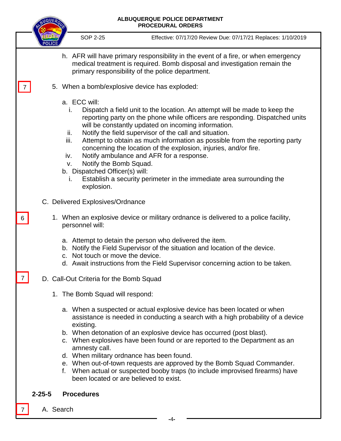|                                               |                                                                                                                                                                                                                    | QUE. |                                                                                                                                                                            | ALBUQUERQUE POLICE DEPARTMENT<br><b>PROCEDURAL ORDERS</b>                                                                                                                                                                                                                                                                                                                                                                                                                                             |  |
|-----------------------------------------------|--------------------------------------------------------------------------------------------------------------------------------------------------------------------------------------------------------------------|------|----------------------------------------------------------------------------------------------------------------------------------------------------------------------------|-------------------------------------------------------------------------------------------------------------------------------------------------------------------------------------------------------------------------------------------------------------------------------------------------------------------------------------------------------------------------------------------------------------------------------------------------------------------------------------------------------|--|
|                                               |                                                                                                                                                                                                                    |      | <b>SOP 2-25</b>                                                                                                                                                            | Effective: 07/17/20 Review Due: 07/17/21 Replaces: 1/10/2019                                                                                                                                                                                                                                                                                                                                                                                                                                          |  |
|                                               | h. AFR will have primary responsibility in the event of a fire, or when emergency<br>medical treatment is required. Bomb disposal and investigation remain the<br>primary responsibility of the police department. |      |                                                                                                                                                                            |                                                                                                                                                                                                                                                                                                                                                                                                                                                                                                       |  |
| 5. When a bomb/explosive device has exploded: |                                                                                                                                                                                                                    |      |                                                                                                                                                                            |                                                                                                                                                                                                                                                                                                                                                                                                                                                                                                       |  |
|                                               |                                                                                                                                                                                                                    |      | a. ECC will:<br>i.<br>ii.<br>iii.<br>Notify ambulance and AFR for a response.<br>iv.<br>Notify the Bomb Squad.<br>v.<br>b. Dispatched Officer(s) will:<br>Τ.<br>explosion. | Dispatch a field unit to the location. An attempt will be made to keep the<br>reporting party on the phone while officers are responding. Dispatched units<br>will be constantly updated on incoming information.<br>Notify the field supervisor of the call and situation.<br>Attempt to obtain as much information as possible from the reporting party<br>concerning the location of the explosion, injuries, and/or fire.<br>Establish a security perimeter in the immediate area surrounding the |  |
| C. Delivered Explosives/Ordnance              |                                                                                                                                                                                                                    |      |                                                                                                                                                                            |                                                                                                                                                                                                                                                                                                                                                                                                                                                                                                       |  |
| 6                                             |                                                                                                                                                                                                                    |      | personnel will:                                                                                                                                                            | 1. When an explosive device or military ordnance is delivered to a police facility,                                                                                                                                                                                                                                                                                                                                                                                                                   |  |
|                                               |                                                                                                                                                                                                                    |      | a. Attempt to detain the person who delivered the item.<br>c. Not touch or move the device.                                                                                | b. Notify the Field Supervisor of the situation and location of the device.<br>d. Await instructions from the Field Supervisor concerning action to be taken.                                                                                                                                                                                                                                                                                                                                         |  |
|                                               | D. Call-Out Criteria for the Bomb Squad                                                                                                                                                                            |      |                                                                                                                                                                            |                                                                                                                                                                                                                                                                                                                                                                                                                                                                                                       |  |
|                                               |                                                                                                                                                                                                                    |      | 1. The Bomb Squad will respond:                                                                                                                                            |                                                                                                                                                                                                                                                                                                                                                                                                                                                                                                       |  |
|                                               |                                                                                                                                                                                                                    |      | existing.<br>amnesty call.<br>d. When military ordnance has been found.<br>been located or are believed to exist.                                                          | a. When a suspected or actual explosive device has been located or when<br>assistance is needed in conducting a search with a high probability of a device<br>b. When detonation of an explosive device has occurred (post blast).<br>c. When explosives have been found or are reported to the Department as an<br>e. When out-of-town requests are approved by the Bomb Squad Commander.<br>f. When actual or suspected booby traps (to include improvised firearms) have                           |  |
|                                               | <b>Procedures</b><br>$2 - 25 - 5$                                                                                                                                                                                  |      |                                                                                                                                                                            |                                                                                                                                                                                                                                                                                                                                                                                                                                                                                                       |  |
|                                               |                                                                                                                                                                                                                    |      | A. Search                                                                                                                                                                  |                                                                                                                                                                                                                                                                                                                                                                                                                                                                                                       |  |

 **-**4**-**